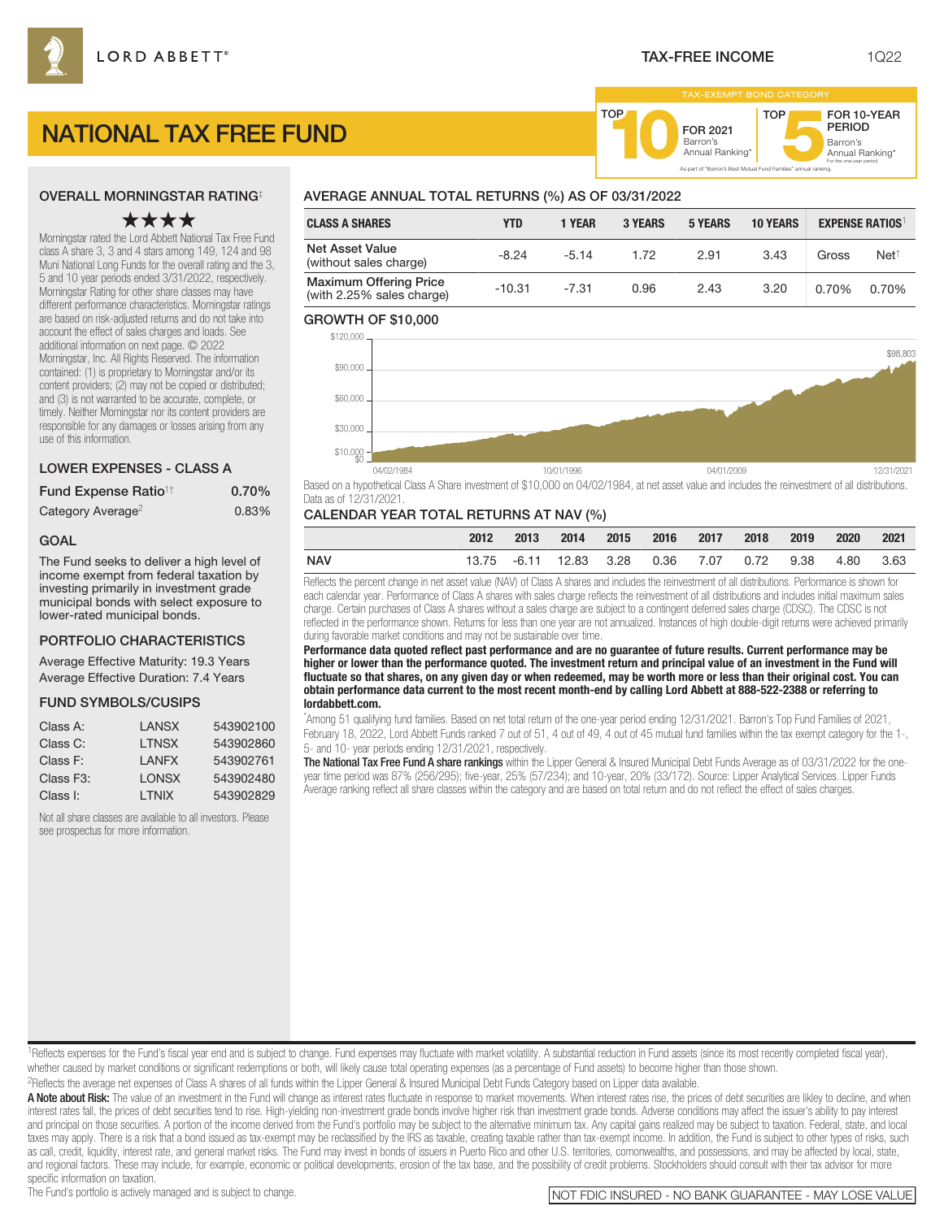FOR 2021<br>Barron's

Barron's **10**Annual Ranking\*

As part of "Barron's Best Mutual Fund Families" annual ranking.

TOP

# NATIONAL TAX FREE FUND

#### OVERALL MORNINGSTAR RATING‡

# ★★★★

Morningstar rated the Lord Abbett National Tax Free Fund class A share 3, 3 and 4 stars among 149, 124 and 98 Muni National Long Funds for the overall rating and the 3, 5 and 10 year periods ended 3/31/2022, respectively. Morningstar Rating for other share classes may have different performance characteristics. Morningstar ratings are based on risk-adjusted returns and do not take into account the effect of sales charges and loads. See additional information on next page. © 2022 Morningstar, Inc. All Rights Reserved. The information contained: (1) is proprietary to Morningstar and/or its content providers; (2) may not be copied or distributed; and (3) is not warranted to be accurate, complete, or timely. Neither Morningstar nor its content providers are responsible for any damages or losses arising from any use of this information.

#### LOWER EXPENSES - CLASS A

| Fund Expense Ratio <sup>1†</sup> | $0.70\%$ |
|----------------------------------|----------|
| Category Average <sup>2</sup>    | 0.83%    |

#### GOAL

The Fund seeks to deliver a high level of income exempt from federal taxation by investing primarily in investment grade municipal bonds with select exposure to lower-rated municipal bonds.

#### PORTFOLIO CHARACTERISTICS

Average Effective Maturity: 19.3 Years Average Effective Duration: 7.4 Years

#### FUND SYMBOLS/CUSIPS

| Class A:               | I ANSX        | 543902100 |
|------------------------|---------------|-----------|
| Class C:               | <b>I TNSX</b> | 543902860 |
| Class F:               | I ANFX        | 543902761 |
| Class F <sub>3</sub> : | <b>LONSX</b>  | 543902480 |
| Class I:               | <b>I TNIX</b> | 543902829 |

Not all share classes are available to all investors. Please see prospectus for more information.

# AVERAGE ANNUAL TOTAL RETURNS (%) AS OF 03/31/2022

| <b>CLASS A SHARES</b>                                      | YTD      | 1 YEAR  | 3 YEARS | <b>5 YEARS</b> | <b>10 YEARS</b> |       | <b>EXPENSE RATIOS</b> |
|------------------------------------------------------------|----------|---------|---------|----------------|-----------------|-------|-----------------------|
| <b>Net Asset Value</b><br>(without sales charge)           | $-8.24$  | $-5.14$ | 1.72    | 2.91           | 3.43            | Gross | $Net^{\dagger}$       |
| <b>Maximum Offering Price</b><br>(with 2.25% sales charge) | $-10.31$ | $-7.31$ | 0.96    | 2.43           | 3.20            | 0.70% | 0.70%                 |

**TOP** 

#### GROWTH OF \$10,000



Based on a hypothetical Class A Share investment of \$10,000 on 04/02/1984, at net asset value and includes the reinvestment of all distributions. Data as of 12/31/2021.

#### CALENDAR YEAR TOTAL RETURNS AT NAV (%)

|     | 2012 | $-2013$ | 2014 2015 2016 2017 2018 2019                        |  |  | 2020 | 2021 |
|-----|------|---------|------------------------------------------------------|--|--|------|------|
| NAV |      |         | 13.75 -6.11 12.83 3.28 0.36 7.07 0.72 9.38 4.80 3.63 |  |  |      |      |

Reflects the percent change in net asset value (NAV) of Class A shares and includes the reinvestment of all distributions. Performance is shown for each calendar year. Performance of Class A shares with sales charge reflects the reinvestment of all distributions and includes initial maximum sales charge. Certain purchases of Class A shares without a sales charge are subject to a contingent deferred sales charge (CDSC). The CDSC is not reflected in the performance shown. Returns for less than one year are not annualized. Instances of high double-digit returns were achieved primarily during favorable market conditions and may not be sustainable over time.

**Performance data quoted reflect past performance and are no guarantee of future results. Current performance may be higher or lower than the performance quoted. The investment return and principal value of an investment in the Fund will fluctuate so that shares, on any given day or when redeemed, may be worth more or less than their original cost. You can obtain performance data current to the most recent month-end by calling Lord Abbett at 888-522-2388 or referring to lordabbett.com.**

\* Among 51 qualifying fund families. Based on net total return of the one-year period ending 12/31/2021. Barron's Top Fund Families of 2021, February 18, 2022, Lord Abbett Funds ranked 7 out of 51, 4 out of 49, 4 out of 45 mutual fund families within the tax exempt category for the 1-, 5- and 10- year periods ending 12/31/2021, respectively.

The National Tax Free Fund A share rankings within the Lipper General & Insured Municipal Debt Funds Average as of 03/31/2022 for the oneyear time period was 87% (256/295); five-year, 25% (57/234); and 10-year, 20% (33/172). Source: Lipper Analytical Services. Lipper Funds Average ranking reflect all share classes within the category and are based on total return and do not reflect the effect of sales charges.

#### <sup>1</sup>Reflects expenses for the Fund's fiscal year end and is subject to change. Fund expenses may fluctuate with market volatility. A substantial reduction in Fund assets (since its most recently completed fiscal year), whether caused by market conditions or significant redemptions or both, will likely cause total operating expenses (as a percentage of Fund assets) to become higher than those shown. 2Reflects the average net expenses of Class A shares of all funds within the Lipper General & Insured Municipal Debt Funds Category based on Lipper data available.

A Note about Risk: The value of an investment in the Fund will change as interest rates fluctuate in response to market movements. When interest rates rise, the prices of debt securities are likley to decline, and when interest rates fall, the prices of debt securities tend to rise. High-yielding non-investment grade bonds involve higher risk than investment grade bonds. Adverse conditions may affect the issuer's ability to pay interest and principal on those securities. A portion of the income derived from the Fund's portfolio may be subject to the alternative minimum tax. Any capital gains realized may be subject to taxation. Federal, state, and local taxes may apply. There is a risk that a bond issued as tax-exempt may be reclassified by the IRS as taxable, creating taxable rather than tax-exempt income. In addition, the Fund is subject to other types of risks, such as call, credit, liquidity, interest rate, and general market risks. The Fund may invest in bonds of issuers in Puerto Rico and other U.S. territories, comonwealths, and possessions, and may be affected by local, state, and regional factors. These may include, for example, economic or political developments, erosion of the tax base, and the possibility of credit problems. Stockholders should consult with their tax advisor for more

specific information on taxation.<br>The Fund's portfolio is actively managed and is subject to change.

Barron's<br>Annual Ranking\*

For the one-year period.

FOR 10-YEAR PERIOD